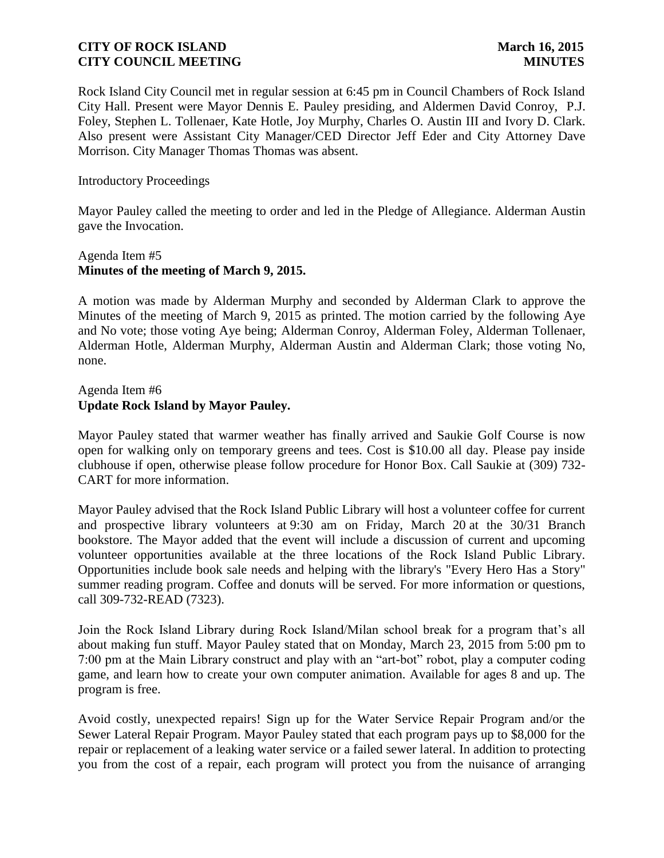Rock Island City Council met in regular session at 6:45 pm in Council Chambers of Rock Island City Hall. Present were Mayor Dennis E. Pauley presiding, and Aldermen David Conroy, P.J. Foley, Stephen L. Tollenaer, Kate Hotle, Joy Murphy, Charles O. Austin III and Ivory D. Clark. Also present were Assistant City Manager/CED Director Jeff Eder and City Attorney Dave Morrison. City Manager Thomas Thomas was absent.

Introductory Proceedings

Mayor Pauley called the meeting to order and led in the Pledge of Allegiance. Alderman Austin gave the Invocation.

### Agenda Item #5 **Minutes of the meeting of March 9, 2015.**

A motion was made by Alderman Murphy and seconded by Alderman Clark to approve the Minutes of the meeting of March 9, 2015 as printed. The motion carried by the following Aye and No vote; those voting Aye being; Alderman Conroy, Alderman Foley, Alderman Tollenaer, Alderman Hotle, Alderman Murphy, Alderman Austin and Alderman Clark; those voting No, none.

### Agenda Item #6 **Update Rock Island by Mayor Pauley.**

Mayor Pauley stated that warmer weather has finally arrived and Saukie Golf Course is now open for walking only on temporary greens and tees. Cost is \$10.00 all day. Please pay inside clubhouse if open, otherwise please follow procedure for Honor Box. Call Saukie at (309) 732- CART for more information.

Mayor Pauley advised that the Rock Island Public Library will host a volunteer coffee for current and prospective library volunteers at 9:30 am on Friday, March 20 at the 30/31 Branch bookstore. The Mayor added that the event will include a discussion of current and upcoming volunteer opportunities available at the three locations of the Rock Island Public Library. Opportunities include book sale needs and helping with the library's "Every Hero Has a Story" summer reading program. Coffee and donuts will be served. For more information or questions, call 309-732-READ (7323).

Join the Rock Island Library during Rock Island/Milan school break for a program that's all about making fun stuff. Mayor Pauley stated that on Monday, March 23, 2015 from 5:00 pm to 7:00 pm at the Main Library construct and play with an "art-bot" robot, play a computer coding game, and learn how to create your own computer animation. Available for ages 8 and up. The program is free.

Avoid costly, unexpected repairs! Sign up for the Water Service Repair Program and/or the Sewer Lateral Repair Program. Mayor Pauley stated that each program pays up to \$8,000 for the repair or replacement of a leaking water service or a failed sewer lateral. In addition to protecting you from the cost of a repair, each program will protect you from the nuisance of arranging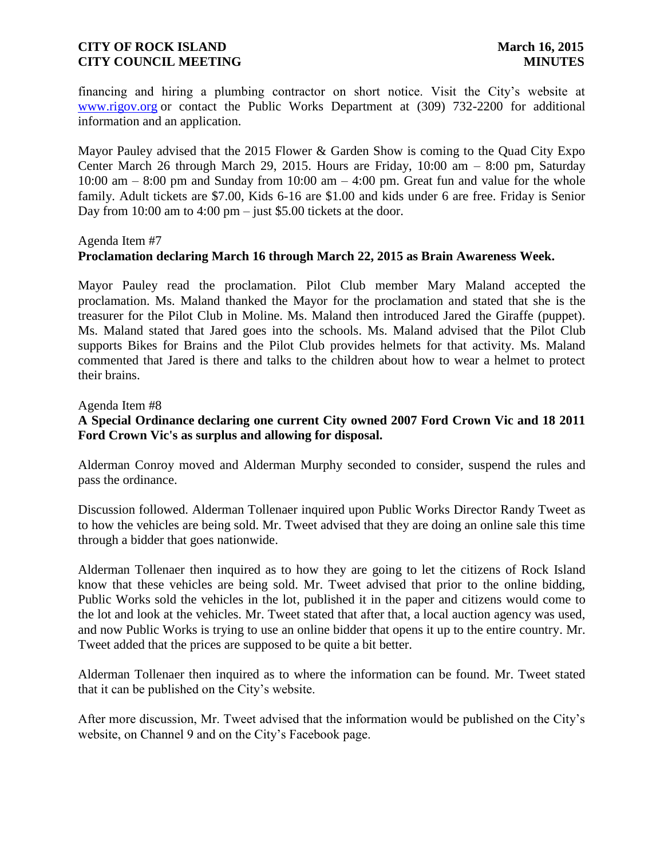financing and hiring a plumbing contractor on short notice. Visit the City's website at [www.rigov.org](http://l.facebook.com/l.php?u=http%3A%2F%2Fwww.rigov.org%2F&h=RAQGb_0WS&enc=AZMR_WVX0vSUATZul9lFGQdP4vY_KLXXn4qYKKMjwpQrre27yzG1WnGYYetK-_q-XAhKxMmzKSi1ya1PQS9EdbcmzzdFe9Js4BwRQbDypXAjHeBxBmWl_JZd9ZSf3w5YSzMX7pN5iv9n8UGke7T0_KBAZt_84_htA_-3Imqays6r8Q&s=1) or contact the Public Works Department at (309) 732-2200 for additional information and an application.

Mayor Pauley advised that the 2015 Flower & Garden Show is coming to the Quad City Expo Center March 26 through March 29, 2015. Hours are Friday, 10:00 am – 8:00 pm, Saturday 10:00 am  $-$  8:00 pm and Sunday from 10:00 am  $-$  4:00 pm. Great fun and value for the whole family. Adult tickets are \$7.00, Kids 6-16 are \$1.00 and kids under 6 are free. Friday is Senior Day from 10:00 am to 4:00 pm – just \$5.00 tickets at the door.

#### Agenda Item #7

### **Proclamation declaring March 16 through March 22, 2015 as Brain Awareness Week.**

Mayor Pauley read the proclamation. Pilot Club member Mary Maland accepted the proclamation. Ms. Maland thanked the Mayor for the proclamation and stated that she is the treasurer for the Pilot Club in Moline. Ms. Maland then introduced Jared the Giraffe (puppet). Ms. Maland stated that Jared goes into the schools. Ms. Maland advised that the Pilot Club supports Bikes for Brains and the Pilot Club provides helmets for that activity. Ms. Maland commented that Jared is there and talks to the children about how to wear a helmet to protect their brains.

#### Agenda Item #8

# **A Special Ordinance declaring one current City owned 2007 Ford Crown Vic and 18 2011 Ford Crown Vic's as surplus and allowing for disposal.**

Alderman Conroy moved and Alderman Murphy seconded to consider, suspend the rules and pass the ordinance.

Discussion followed. Alderman Tollenaer inquired upon Public Works Director Randy Tweet as to how the vehicles are being sold. Mr. Tweet advised that they are doing an online sale this time through a bidder that goes nationwide.

Alderman Tollenaer then inquired as to how they are going to let the citizens of Rock Island know that these vehicles are being sold. Mr. Tweet advised that prior to the online bidding, Public Works sold the vehicles in the lot, published it in the paper and citizens would come to the lot and look at the vehicles. Mr. Tweet stated that after that, a local auction agency was used, and now Public Works is trying to use an online bidder that opens it up to the entire country. Mr. Tweet added that the prices are supposed to be quite a bit better.

Alderman Tollenaer then inquired as to where the information can be found. Mr. Tweet stated that it can be published on the City's website.

After more discussion, Mr. Tweet advised that the information would be published on the City's website, on Channel 9 and on the City's Facebook page.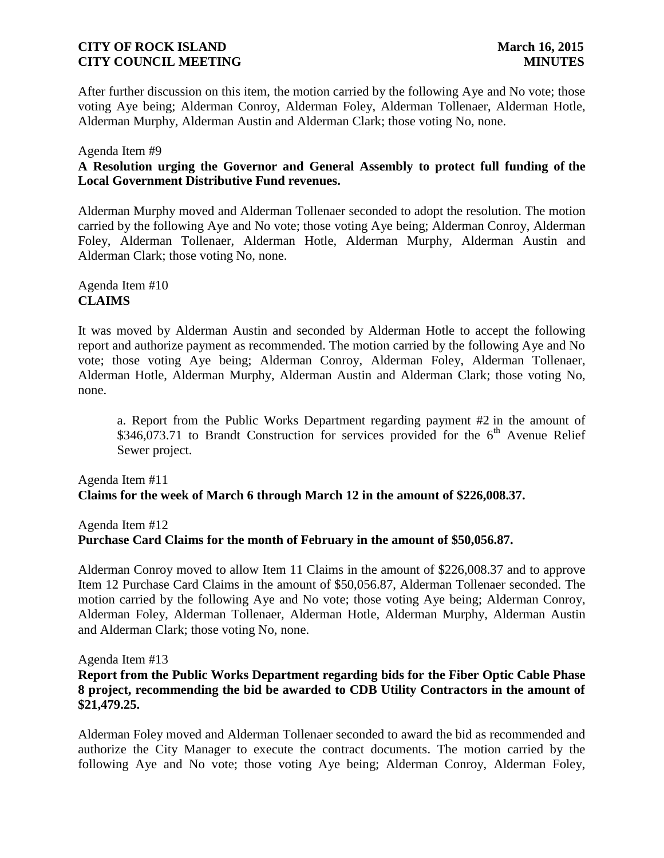After further discussion on this item, the motion carried by the following Aye and No vote; those voting Aye being; Alderman Conroy, Alderman Foley, Alderman Tollenaer, Alderman Hotle, Alderman Murphy, Alderman Austin and Alderman Clark; those voting No, none.

### Agenda Item #9

# **A Resolution urging the Governor and General Assembly to protect full funding of the Local Government Distributive Fund revenues.**

Alderman Murphy moved and Alderman Tollenaer seconded to adopt the resolution. The motion carried by the following Aye and No vote; those voting Aye being; Alderman Conroy, Alderman Foley, Alderman Tollenaer, Alderman Hotle, Alderman Murphy, Alderman Austin and Alderman Clark; those voting No, none.

Agenda Item #10 **CLAIMS**

It was moved by Alderman Austin and seconded by Alderman Hotle to accept the following report and authorize payment as recommended. The motion carried by the following Aye and No vote; those voting Aye being; Alderman Conroy, Alderman Foley, Alderman Tollenaer, Alderman Hotle, Alderman Murphy, Alderman Austin and Alderman Clark; those voting No, none.

a. Report from the Public Works Department regarding payment #2 in the amount of \$346,073.71 to Brandt Construction for services provided for the  $6<sup>th</sup>$  Avenue Relief Sewer project.

# Agenda Item #11 **Claims for the week of March 6 through March 12 in the amount of \$226,008.37.**

Agenda Item #12 **Purchase Card Claims for the month of February in the amount of \$50,056.87.** 

Alderman Conroy moved to allow Item 11 Claims in the amount of \$226,008.37 and to approve Item 12 Purchase Card Claims in the amount of \$50,056.87, Alderman Tollenaer seconded. The motion carried by the following Aye and No vote; those voting Aye being; Alderman Conroy, Alderman Foley, Alderman Tollenaer, Alderman Hotle, Alderman Murphy, Alderman Austin and Alderman Clark; those voting No, none.

Agenda Item #13

## **Report from the Public Works Department regarding bids for the Fiber Optic Cable Phase 8 project, recommending the bid be awarded to CDB Utility Contractors in the amount of \$21,479.25.**

Alderman Foley moved and Alderman Tollenaer seconded to award the bid as recommended and authorize the City Manager to execute the contract documents. The motion carried by the following Aye and No vote; those voting Aye being; Alderman Conroy, Alderman Foley,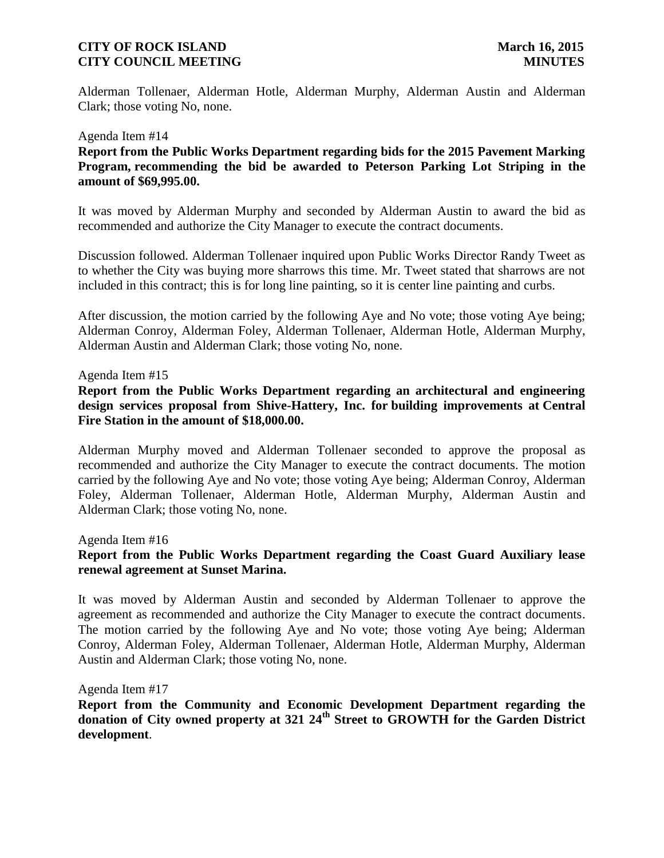Alderman Tollenaer, Alderman Hotle, Alderman Murphy, Alderman Austin and Alderman Clark; those voting No, none.

#### Agenda Item #14

**Report from the Public Works Department regarding bids for the 2015 Pavement Marking Program, recommending the bid be awarded to Peterson Parking Lot Striping in the amount of \$69,995.00.**

It was moved by Alderman Murphy and seconded by Alderman Austin to award the bid as recommended and authorize the City Manager to execute the contract documents.

Discussion followed. Alderman Tollenaer inquired upon Public Works Director Randy Tweet as to whether the City was buying more sharrows this time. Mr. Tweet stated that sharrows are not included in this contract; this is for long line painting, so it is center line painting and curbs.

After discussion, the motion carried by the following Aye and No vote; those voting Aye being; Alderman Conroy, Alderman Foley, Alderman Tollenaer, Alderman Hotle, Alderman Murphy, Alderman Austin and Alderman Clark; those voting No, none.

#### Agenda Item #15

### **Report from the Public Works Department regarding an architectural and engineering design services proposal from Shive-Hattery, Inc. for building improvements at Central Fire Station in the amount of \$18,000.00.**

Alderman Murphy moved and Alderman Tollenaer seconded to approve the proposal as recommended and authorize the City Manager to execute the contract documents. The motion carried by the following Aye and No vote; those voting Aye being; Alderman Conroy, Alderman Foley, Alderman Tollenaer, Alderman Hotle, Alderman Murphy, Alderman Austin and Alderman Clark; those voting No, none.

Agenda Item #16

# **Report from the Public Works Department regarding the Coast Guard Auxiliary lease renewal agreement at Sunset Marina.**

It was moved by Alderman Austin and seconded by Alderman Tollenaer to approve the agreement as recommended and authorize the City Manager to execute the contract documents. The motion carried by the following Aye and No vote; those voting Aye being; Alderman Conroy, Alderman Foley, Alderman Tollenaer, Alderman Hotle, Alderman Murphy, Alderman Austin and Alderman Clark; those voting No, none.

Agenda Item #17

**Report from the Community and Economic Development Department regarding the donation of City owned property at 321 24th Street to GROWTH for the Garden District development**.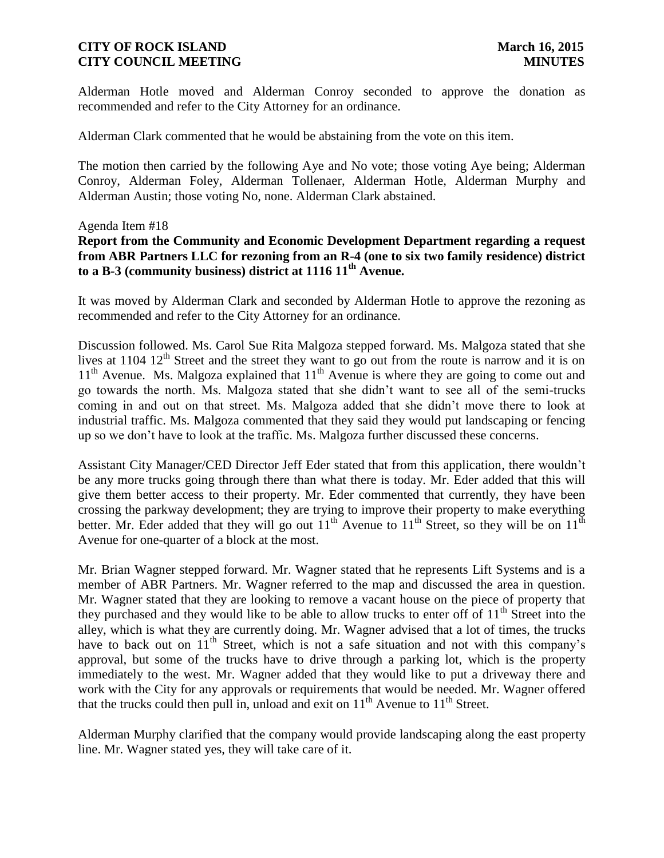Alderman Hotle moved and Alderman Conroy seconded to approve the donation as recommended and refer to the City Attorney for an ordinance.

Alderman Clark commented that he would be abstaining from the vote on this item.

The motion then carried by the following Aye and No vote; those voting Aye being; Alderman Conroy, Alderman Foley, Alderman Tollenaer, Alderman Hotle, Alderman Murphy and Alderman Austin; those voting No, none. Alderman Clark abstained.

### Agenda Item #18

# **Report from the Community and Economic Development Department regarding a request from ABR Partners LLC for rezoning from an R-4 (one to six two family residence) district to a B-3 (community business) district at 1116 11th Avenue.**

It was moved by Alderman Clark and seconded by Alderman Hotle to approve the rezoning as recommended and refer to the City Attorney for an ordinance.

Discussion followed. Ms. Carol Sue Rita Malgoza stepped forward. Ms. Malgoza stated that she lives at  $1104 \frac{12^{th}}{s}$  Street and the street they want to go out from the route is narrow and it is on  $11<sup>th</sup>$  Avenue. Ms. Malgoza explained that  $11<sup>th</sup>$  Avenue is where they are going to come out and go towards the north. Ms. Malgoza stated that she didn't want to see all of the semi-trucks coming in and out on that street. Ms. Malgoza added that she didn't move there to look at industrial traffic. Ms. Malgoza commented that they said they would put landscaping or fencing up so we don't have to look at the traffic. Ms. Malgoza further discussed these concerns.

Assistant City Manager/CED Director Jeff Eder stated that from this application, there wouldn't be any more trucks going through there than what there is today. Mr. Eder added that this will give them better access to their property. Mr. Eder commented that currently, they have been crossing the parkway development; they are trying to improve their property to make everything better. Mr. Eder added that they will go out  $11^{th}$  Avenue to  $11^{th}$  Street, so they will be on  $11^{th}$ Avenue for one-quarter of a block at the most.

Mr. Brian Wagner stepped forward. Mr. Wagner stated that he represents Lift Systems and is a member of ABR Partners. Mr. Wagner referred to the map and discussed the area in question. Mr. Wagner stated that they are looking to remove a vacant house on the piece of property that they purchased and they would like to be able to allow trucks to enter off of  $11<sup>th</sup>$  Street into the alley, which is what they are currently doing. Mr. Wagner advised that a lot of times, the trucks have to back out on  $11<sup>th</sup>$  Street, which is not a safe situation and not with this company's approval, but some of the trucks have to drive through a parking lot, which is the property immediately to the west. Mr. Wagner added that they would like to put a driveway there and work with the City for any approvals or requirements that would be needed. Mr. Wagner offered that the trucks could then pull in, unload and exit on  $11<sup>th</sup>$  Avenue to  $11<sup>th</sup>$  Street.

Alderman Murphy clarified that the company would provide landscaping along the east property line. Mr. Wagner stated yes, they will take care of it.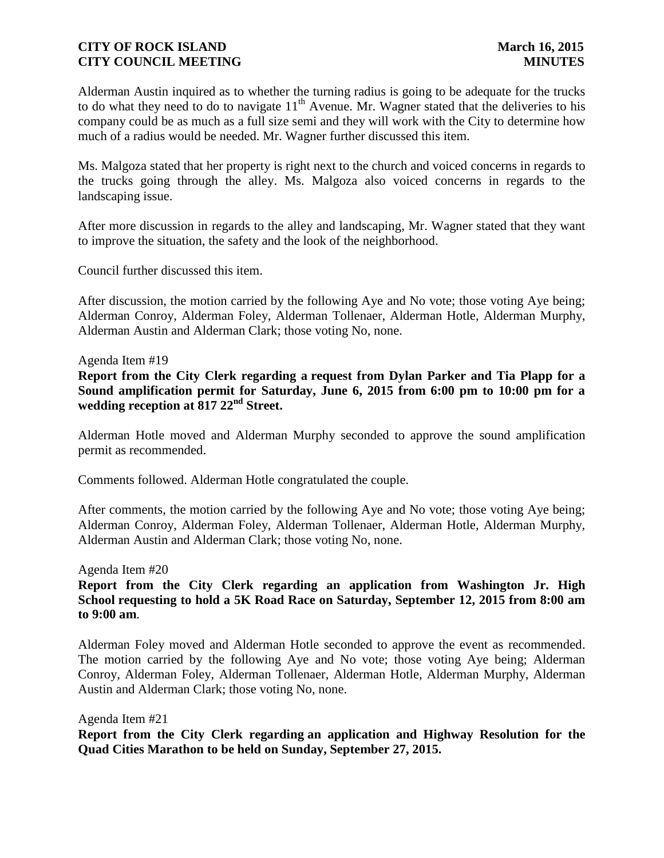Alderman Austin inquired as to whether the turning radius is going to be adequate for the trucks to do what they need to do to navigate  $11<sup>th</sup>$  Avenue. Mr. Wagner stated that the deliveries to his company could be as much as a full size semi and they will work with the City to determine how much of a radius would be needed. Mr. Wagner further discussed this item.

Ms. Malgoza stated that her property is right next to the church and voiced concerns in regards to the trucks going through the alley. Ms. Malgoza also voiced concerns in regards to the landscaping issue.

After more discussion in regards to the alley and landscaping, Mr. Wagner stated that they want to improve the situation, the safety and the look of the neighborhood.

Council further discussed this item.

After discussion, the motion carried by the following Aye and No vote; those voting Aye being; Alderman Conroy, Alderman Foley, Alderman Tollenaer, Alderman Hotle, Alderman Murphy, Alderman Austin and Alderman Clark; those voting No, none.

#### Agenda Item #19

**Report from the City Clerk regarding a request from Dylan Parker and Tia Plapp for a Sound amplification permit for Saturday, June 6, 2015 from 6:00 pm to 10:00 pm for a wedding reception at 817 22nd Street.**

Alderman Hotle moved and Alderman Murphy seconded to approve the sound amplification permit as recommended.

Comments followed. Alderman Hotle congratulated the couple.

After comments, the motion carried by the following Aye and No vote; those voting Aye being; Alderman Conroy, Alderman Foley, Alderman Tollenaer, Alderman Hotle, Alderman Murphy, Alderman Austin and Alderman Clark; those voting No, none.

#### Agenda Item #20

**Report from the City Clerk regarding an application from Washington Jr. High School requesting to hold a 5K Road Race on Saturday, September 12, 2015 from 8:00 am to 9:00 am**.

Alderman Foley moved and Alderman Hotle seconded to approve the event as recommended. The motion carried by the following Aye and No vote; those voting Aye being; Alderman Conroy, Alderman Foley, Alderman Tollenaer, Alderman Hotle, Alderman Murphy, Alderman Austin and Alderman Clark; those voting No, none.

Agenda Item #21

**Report from the City Clerk regarding an application and Highway Resolution for the Quad Cities Marathon to be held on Sunday, September 27, 2015.**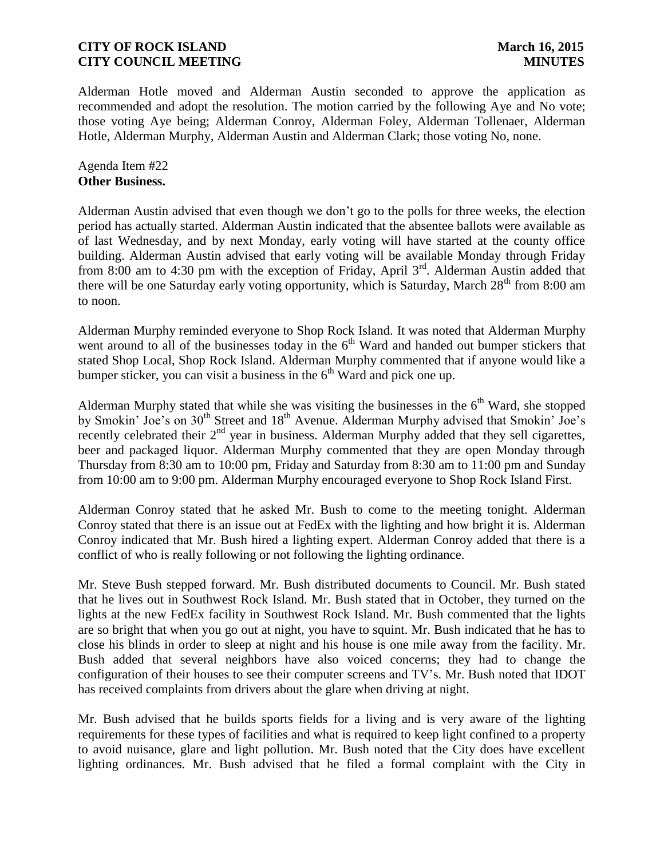Alderman Hotle moved and Alderman Austin seconded to approve the application as recommended and adopt the resolution. The motion carried by the following Aye and No vote; those voting Aye being; Alderman Conroy, Alderman Foley, Alderman Tollenaer, Alderman Hotle, Alderman Murphy, Alderman Austin and Alderman Clark; those voting No, none.

Agenda Item #22 **Other Business.**

Alderman Austin advised that even though we don't go to the polls for three weeks, the election period has actually started. Alderman Austin indicated that the absentee ballots were available as of last Wednesday, and by next Monday, early voting will have started at the county office building. Alderman Austin advised that early voting will be available Monday through Friday from 8:00 am to 4:30 pm with the exception of Friday, April  $3<sup>rd</sup>$ . Alderman Austin added that there will be one Saturday early voting opportunity, which is Saturday, March  $28<sup>th</sup>$  from 8:00 am to noon.

Alderman Murphy reminded everyone to Shop Rock Island. It was noted that Alderman Murphy went around to all of the businesses today in the  $6<sup>th</sup>$  Ward and handed out bumper stickers that stated Shop Local, Shop Rock Island. Alderman Murphy commented that if anyone would like a bumper sticker, you can visit a business in the  $6<sup>th</sup>$  Ward and pick one up.

Alderman Murphy stated that while she was visiting the businesses in the  $6<sup>th</sup>$  Ward, she stopped by Smokin' Joe's on 30<sup>th</sup> Street and 18<sup>th</sup> Avenue. Alderman Murphy advised that Smokin' Joe's recently celebrated their  $2<sup>nd</sup>$  year in business. Alderman Murphy added that they sell cigarettes, beer and packaged liquor. Alderman Murphy commented that they are open Monday through Thursday from 8:30 am to 10:00 pm, Friday and Saturday from 8:30 am to 11:00 pm and Sunday from 10:00 am to 9:00 pm. Alderman Murphy encouraged everyone to Shop Rock Island First.

Alderman Conroy stated that he asked Mr. Bush to come to the meeting tonight. Alderman Conroy stated that there is an issue out at FedEx with the lighting and how bright it is. Alderman Conroy indicated that Mr. Bush hired a lighting expert. Alderman Conroy added that there is a conflict of who is really following or not following the lighting ordinance.

Mr. Steve Bush stepped forward. Mr. Bush distributed documents to Council. Mr. Bush stated that he lives out in Southwest Rock Island. Mr. Bush stated that in October, they turned on the lights at the new FedEx facility in Southwest Rock Island. Mr. Bush commented that the lights are so bright that when you go out at night, you have to squint. Mr. Bush indicated that he has to close his blinds in order to sleep at night and his house is one mile away from the facility. Mr. Bush added that several neighbors have also voiced concerns; they had to change the configuration of their houses to see their computer screens and TV's. Mr. Bush noted that IDOT has received complaints from drivers about the glare when driving at night.

Mr. Bush advised that he builds sports fields for a living and is very aware of the lighting requirements for these types of facilities and what is required to keep light confined to a property to avoid nuisance, glare and light pollution. Mr. Bush noted that the City does have excellent lighting ordinances. Mr. Bush advised that he filed a formal complaint with the City in